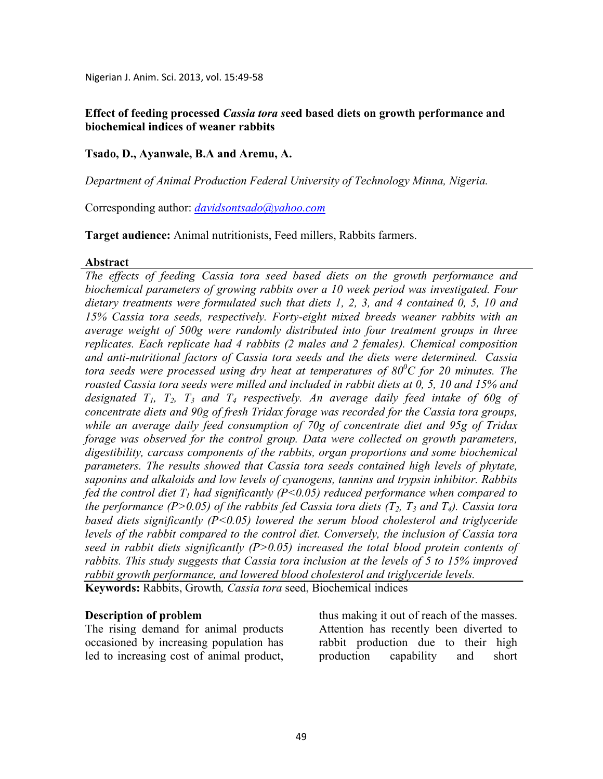Nigerian J. Anim. Sci. 2013, vol. 15:49-58

## **Effect of feeding processed** *Cassia tora s***eed based diets on growth performance and biochemical indices of weaner rabbits**

## **Tsado, D., Ayanwale, B.A and Aremu, A.**

*Department of Animal Production Federal University of Technology Minna, igeria.*

Corresponding author: *davidsontsado@yahoo.com*

**Target audience:** Animal nutritionists, Feed millers, Rabbits farmers.

#### **Abstract**

*The effects of feeding Cassia tora seed based diets on the growth performance and biochemical parameters of growing rabbits over a 10 week period was investigated. Four dietary treatments were formulated such that diets 1, 2, 3, and 4 contained 0, 5, 10 and 15% Cassia tora seeds, respectively. Forty-eight mixed breeds weaner rabbits with an average weight of 500g were randomly distributed into four treatment groups in three replicates. Each replicate had 4 rabbits (2 males and 2 females). Chemical composition and anti-nutritional factors of Cassia tora seeds and the diets were determined. Cassia tora seeds were processed using dry heat at temperatures of 80<sup>0</sup>C for 20 minutes. The roasted Cassia tora seeds were milled and included in rabbit diets at 0, 5, 10 and 15% and designated T1, T2, T3 and T4 respectively. An average daily feed intake of 60g of concentrate diets and 90g of fresh Tridax forage was recorded for the Cassia tora groups, while an average daily feed consumption of 70g of concentrate diet and 95g of Tridax forage was observed for the control group. Data were collected on growth parameters, digestibility, carcass components of the rabbits, organ proportions and some biochemical parameters. The results showed that Cassia tora seeds contained high levels of phytate, saponins and alkaloids and low levels of cyanogens, tannins and trypsin inhibitor. Rabbits fed the control diet T1 had significantly (P<0.05) reduced performance when compared to the performance (P>0.05) of the rabbits fed Cassia tora diets (* $T_2$ *,*  $T_3$  *and*  $T_4$ *). Cassia tora based diets significantly (P<0.05) lowered the serum blood cholesterol and triglyceride levels of the rabbit compared to the control diet. Conversely, the inclusion of Cassia tora seed in rabbit diets significantly (P>0.05) increased the total blood protein contents of rabbits. This study suggests that Cassia tora inclusion at the levels of 5 to 15% improved rabbit growth performance, and lowered blood cholesterol and triglyceride levels.*  **Keywords:** Rabbits, Growth*, Cassia tora* seed, Biochemical indices

### **Description of problem**

The rising demand for animal products occasioned by increasing population has led to increasing cost of animal product,

thus making it out of reach of the masses. Attention has recently been diverted to rabbit production due to their high production capability and short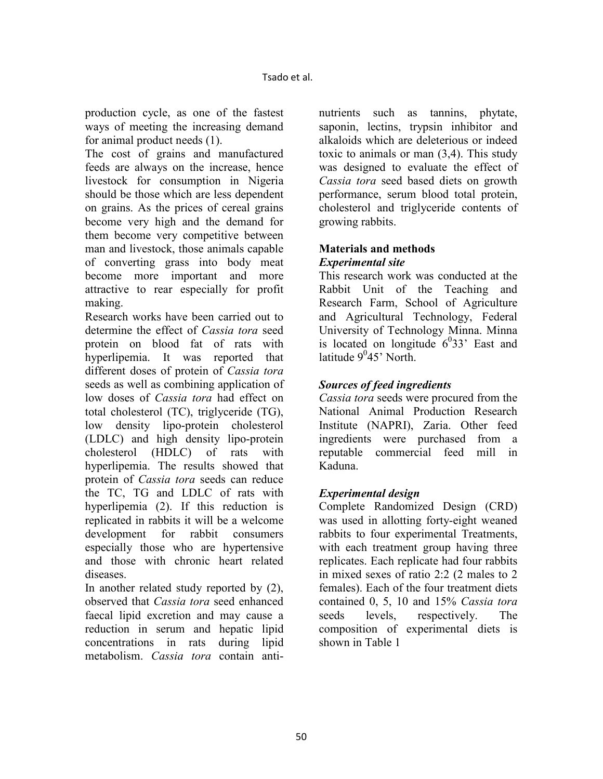production cycle, as one of the fastest ways of meeting the increasing demand for animal product needs (1).

The cost of grains and manufactured feeds are always on the increase, hence livestock for consumption in Nigeria should be those which are less dependent on grains. As the prices of cereal grains become very high and the demand for them become very competitive between man and livestock, those animals capable of converting grass into body meat become more important and more attractive to rear especially for profit making.

Research works have been carried out to determine the effect of *Cassia tora* seed protein on blood fat of rats with hyperlipemia. It was reported that different doses of protein of *Cassia tora* seeds as well as combining application of low doses of *Cassia tora* had effect on total cholesterol (TC), triglyceride (TG), low density lipo-protein cholesterol (LDLC) and high density lipo-protein cholesterol (HDLC) of rats with hyperlipemia. The results showed that protein of *Cassia tora* seeds can reduce the TC, TG and LDLC of rats with hyperlipemia (2). If this reduction is replicated in rabbits it will be a welcome development for rabbit consumers especially those who are hypertensive and those with chronic heart related diseases.

In another related study reported by (2), observed that *Cassia tora* seed enhanced faecal lipid excretion and may cause a reduction in serum and hepatic lipid concentrations in rats during lipid metabolism. *Cassia tora* contain antinutrients such as tannins, phytate, saponin, lectins, trypsin inhibitor and alkaloids which are deleterious or indeed toxic to animals or man (3,4). This study was designed to evaluate the effect of *Cassia tora* seed based diets on growth performance, serum blood total protein, cholesterol and triglyceride contents of growing rabbits.

## **Materials and methods** *Experimental site*

This research work was conducted at the Rabbit Unit of the Teaching and Research Farm, School of Agriculture and Agricultural Technology, Federal University of Technology Minna. Minna is located on longitude  $6^033$ ' East and latitude 9<sup>0</sup>45' North.

# *Sources of feed ingredients*

*Cassia tora* seeds were procured from the National Animal Production Research Institute (NAPRI), Zaria. Other feed ingredients were purchased from a reputable commercial feed mill in Kaduna.

# *Experimental design*

Complete Randomized Design (CRD) was used in allotting forty-eight weaned rabbits to four experimental Treatments, with each treatment group having three replicates. Each replicate had four rabbits in mixed sexes of ratio 2:2 (2 males to 2 females). Each of the four treatment diets contained 0, 5, 10 and 15% *Cassia tora* seeds levels, respectively. The composition of experimental diets is shown in Table 1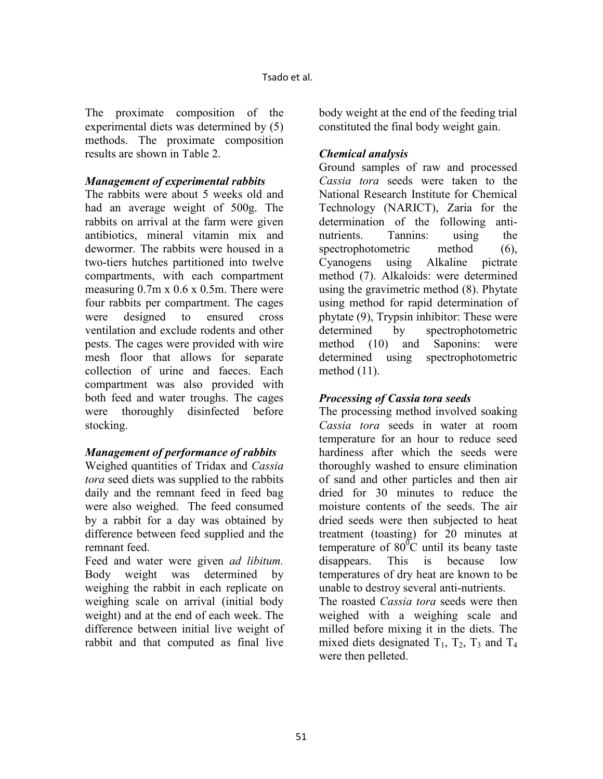The proximate composition of the experimental diets was determined by (5) methods. The proximate composition results are shown in Table 2.

## *Management of experimental rabbits*

The rabbits were about 5 weeks old and had an average weight of 500g. The rabbits on arrival at the farm were given antibiotics, mineral vitamin mix and dewormer. The rabbits were housed in a two-tiers hutches partitioned into twelve compartments, with each compartment measuring 0.7m x 0.6 x 0.5m. There were four rabbits per compartment. The cages were designed to ensured cross ventilation and exclude rodents and other pests. The cages were provided with wire mesh floor that allows for separate collection of urine and faeces. Each compartment was also provided with both feed and water troughs. The cages were thoroughly disinfected before stocking.

## *Management of performance of rabbits*

Weighed quantities of Tridax and *Cassia tora* seed diets was supplied to the rabbits daily and the remnant feed in feed bag were also weighed. The feed consumed by a rabbit for a day was obtained by difference between feed supplied and the remnant feed.

Feed and water were given *ad libitum.*  Body weight was determined by weighing the rabbit in each replicate on weighing scale on arrival (initial body weight) and at the end of each week. The difference between initial live weight of rabbit and that computed as final live

body weight at the end of the feeding trial constituted the final body weight gain.

## *Chemical analysis*

Ground samples of raw and processed *Cassia tora* seeds were taken to the National Research Institute for Chemical Technology (NARICT), Zaria for the determination of the following antinutrients. Tannins: using the spectrophotometric method (6), Cyanogens using Alkaline pictrate method (7). Alkaloids: were determined using the gravimetric method (8). Phytate using method for rapid determination of phytate (9), Trypsin inhibitor: These were determined by spectrophotometric method (10) and Saponins: were determined using spectrophotometric method (11).

## *Processing of Cassia tora seeds*

The processing method involved soaking *Cassia tora* seeds in water at room temperature for an hour to reduce seed hardiness after which the seeds were thoroughly washed to ensure elimination of sand and other particles and then air dried for 30 minutes to reduce the moisture contents of the seeds. The air dried seeds were then subjected to heat treatment (toasting) for 20 minutes at temperature of  $80^{\circ}$ C until its beany taste disappears. This is because low temperatures of dry heat are known to be unable to destroy several anti-nutrients.

The roasted *Cassia tora* seeds were then weighed with a weighing scale and milled before mixing it in the diets. The mixed diets designated  $T_1$ ,  $T_2$ ,  $T_3$  and  $T_4$ were then pelleted.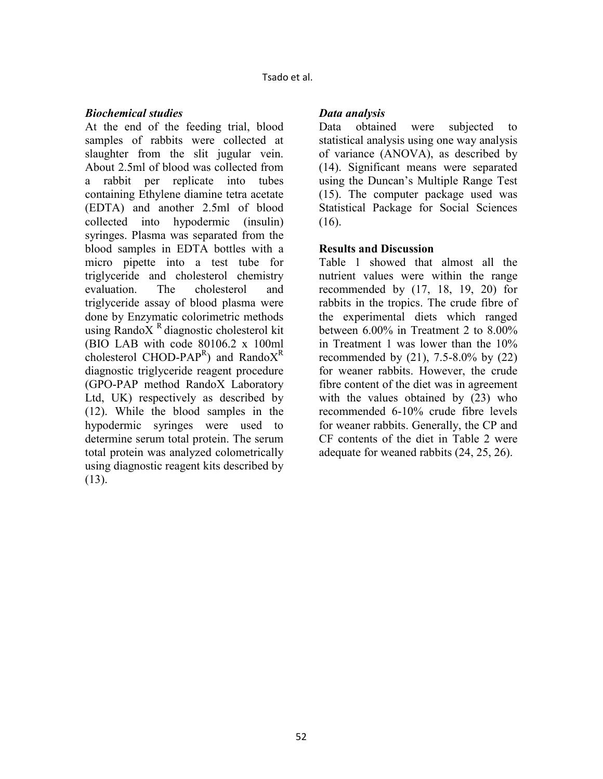Tsado et al.

### *Biochemical studies*

At the end of the feeding trial, blood samples of rabbits were collected at slaughter from the slit jugular vein. About 2.5ml of blood was collected from a rabbit per replicate into tubes containing Ethylene diamine tetra acetate (EDTA) and another 2.5ml of blood collected into hypodermic (insulin) syringes. Plasma was separated from the blood samples in EDTA bottles with a micro pipette into a test tube for triglyceride and cholesterol chemistry evaluation. The cholesterol and triglyceride assay of blood plasma were done by Enzymatic colorimetric methods using RandoX $<sup>R</sup>$  diagnostic cholesterol kit</sup> (BIO LAB with code 80106.2 x 100ml cholesterol CHOD-PAP<sup>R</sup>) and RandoX<sup>R</sup> diagnostic triglyceride reagent procedure (GPO-PAP method RandoX Laboratory Ltd, UK) respectively as described by (12). While the blood samples in the hypodermic syringes were used to determine serum total protein. The serum total protein was analyzed colometrically using diagnostic reagent kits described by (13).

## *Data analysis*

Data obtained were subjected to statistical analysis using one way analysis of variance (ANOVA), as described by (14). Significant means were separated using the Duncan's Multiple Range Test (15). The computer package used was Statistical Package for Social Sciences (16).

## **Results and Discussion**

Table 1 showed that almost all the nutrient values were within the range recommended by (17, 18, 19, 20) for rabbits in the tropics. The crude fibre of the experimental diets which ranged between 6.00% in Treatment 2 to 8.00% in Treatment 1 was lower than the 10% recommended by  $(21)$ , 7.5-8.0% by  $(22)$ for weaner rabbits. However, the crude fibre content of the diet was in agreement with the values obtained by  $(23)$  who recommended 6-10% crude fibre levels for weaner rabbits. Generally, the CP and CF contents of the diet in Table 2 were adequate for weaned rabbits (24, 25, 26).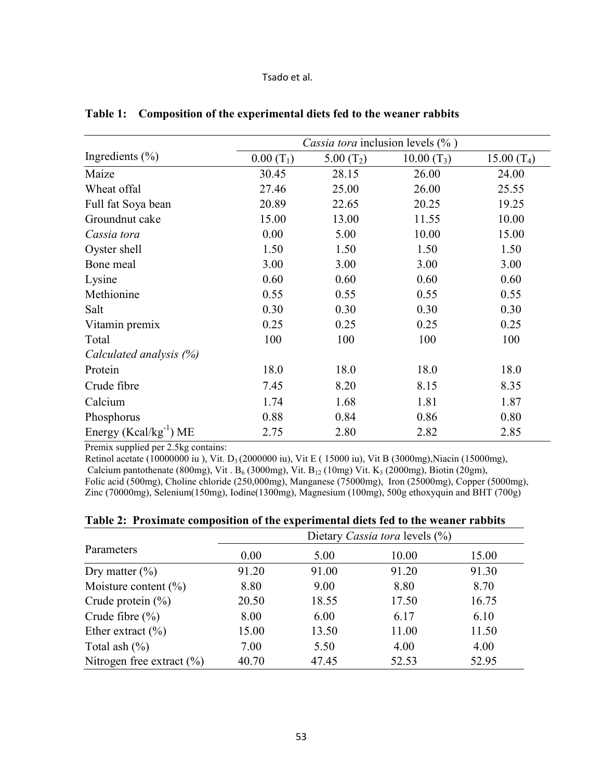#### Tsado et al.

|                              | Cassia tora inclusion levels (%) |              |              |               |  |
|------------------------------|----------------------------------|--------------|--------------|---------------|--|
| Ingredients $(\% )$          | $0.00(T_1)$                      | 5.00 $(T_2)$ | $10.00(T_3)$ | 15.00 $(T_4)$ |  |
| Maize                        | 30.45                            | 28.15        | 26.00        | 24.00         |  |
| Wheat offal                  | 27.46                            | 25.00        | 26.00        | 25.55         |  |
| Full fat Soya bean           | 20.89                            | 22.65        | 20.25        | 19.25         |  |
| Groundnut cake               | 15.00                            | 13.00        | 11.55        | 10.00         |  |
| Cassia tora                  | 0.00                             | 5.00         | 10.00        | 15.00         |  |
| Oyster shell                 | 1.50                             | 1.50         | 1.50         | 1.50          |  |
| Bone meal                    | 3.00                             | 3.00         | 3.00         | 3.00          |  |
| Lysine                       | 0.60                             | 0.60         | 0.60         | 0.60          |  |
| Methionine                   | 0.55                             | 0.55         | 0.55         | 0.55          |  |
| Salt                         | 0.30                             | 0.30         | 0.30         | 0.30          |  |
| Vitamin premix               | 0.25                             | 0.25         | 0.25         | 0.25          |  |
| Total                        | 100                              | 100          | 100          | 100           |  |
| Calculated analysis (%)      |                                  |              |              |               |  |
| Protein                      | 18.0                             | 18.0         | 18.0         | 18.0          |  |
| Crude fibre                  | 7.45                             | 8.20         | 8.15         | 8.35          |  |
| Calcium                      | 1.74                             | 1.68         | 1.81         | 1.87          |  |
| Phosphorus                   | 0.88                             | 0.84         | 0.86         | 0.80          |  |
| Energy ( $Kcal/kg^{-1}$ ) ME | 2.75                             | 2.80         | 2.82         | 2.85          |  |

**Table 1: Composition of the experimental diets fed to the weaner rabbits**

Premix supplied per 2.5kg contains:

Retinol acetate (10000000 iu), Vit. D<sub>3</sub> (2000000 iu), Vit E ( 15000 iu), Vit B (3000mg), Niacin (15000mg), Calcium pantothenate (800mg), Vit. B<sub>6</sub> (3000mg), Vit. B<sub>12</sub> (10mg) Vit. K<sub>3</sub> (2000mg), Biotin (20gm), Folic acid (500mg), Choline chloride (250,000mg), Manganese (75000mg), Iron (25000mg), Copper (5000mg), Zinc (70000mg), Selenium(150mg), Iodine(1300mg), Magnesium (100mg), 500g ethoxyquin and BHT (700g)

|                               | Dietary Cassia tora levels (%) |       |       |       |  |
|-------------------------------|--------------------------------|-------|-------|-------|--|
| Parameters                    | 0.00                           | 5.00  | 10.00 | 15.00 |  |
| Dry matter $(\% )$            | 91.20                          | 91.00 | 91.20 | 91.30 |  |
| Moisture content $(\%)$       | 8.80                           | 9.00  | 8.80  | 8.70  |  |
| Crude protein $(\% )$         | 20.50                          | 18.55 | 17.50 | 16.75 |  |
| Crude fibre $(\% )$           | 8.00                           | 6.00  | 6.17  | 6.10  |  |
| Ether extract $(\% )$         | 15.00                          | 13.50 | 11.00 | 11.50 |  |
| Total ash $(\%)$              | 7.00                           | 5.50  | 4.00  | 4.00  |  |
| Nitrogen free extract $(\% )$ | 40.70                          | 47.45 | 52.53 | 52.95 |  |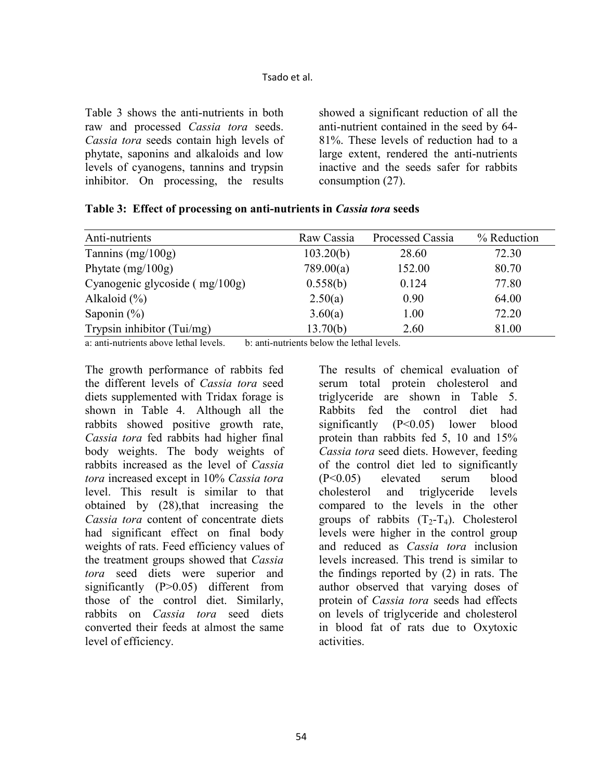Table 3 shows the anti-nutrients in both raw and processed *Cassia tora* seeds. *Cassia tora* seeds contain high levels of phytate, saponins and alkaloids and low levels of cyanogens, tannins and trypsin inhibitor. On processing, the results

showed a significant reduction of all the anti-nutrient contained in the seed by 64- 81%. These levels of reduction had to a large extent, rendered the anti-nutrients inactive and the seeds safer for rabbits consumption (27).

| Anti-nutrients                                                                                                                                                                                                                  | Raw Cassia | Processed Cassia | % Reduction |
|---------------------------------------------------------------------------------------------------------------------------------------------------------------------------------------------------------------------------------|------------|------------------|-------------|
| Tannins $(mg/100g)$                                                                                                                                                                                                             | 103.20(b)  | 28.60            | 72.30       |
| Phytate $(mg/100g)$                                                                                                                                                                                                             | 789.00(a)  | 152.00           | 80.70       |
| Cyanogenic glycoside (mg/100g)                                                                                                                                                                                                  | 0.558(b)   | 0.124            | 77.80       |
| Alkaloid $(\%)$                                                                                                                                                                                                                 | 2.50(a)    | 0.90             | 64.00       |
| Saponin $(\%)$                                                                                                                                                                                                                  | 3.60(a)    | 1.00             | 72.20       |
| Trypsin inhibitor (Tui/mg)                                                                                                                                                                                                      | 13.70(b)   | 2.60             | 81.00       |
| $\sim$ . The contract of the contract of the contract of the contract of the contract of the contract of the contract of the contract of the contract of the contract of the contract of the contract of the contract of the co |            |                  |             |

|  |  |  |  |  | Table 3: Effect of processing on anti-nutrients in Cassia tora seeds |
|--|--|--|--|--|----------------------------------------------------------------------|
|--|--|--|--|--|----------------------------------------------------------------------|

a: anti-nutrients above lethal levels. b: anti-nutrients below the lethal levels.

The growth performance of rabbits fed the different levels of *Cassia tora* seed diets supplemented with Tridax forage is shown in Table 4. Although all the rabbits showed positive growth rate, *Cassia tora* fed rabbits had higher final body weights. The body weights of rabbits increased as the level of *Cassia tora* increased except in 10% *Cassia tora* level. This result is similar to that obtained by (28),that increasing the *Cassia tora* content of concentrate diets had significant effect on final body weights of rats. Feed efficiency values of the treatment groups showed that *Cassia tora* seed diets were superior and significantly (P>0.05) different from those of the control diet. Similarly, rabbits on *Cassia tora* seed diets converted their feeds at almost the same level of efficiency.

The results of chemical evaluation of serum total protein cholesterol and triglyceride are shown in Table 5. Rabbits fed the control diet had significantly (P<0.05) lower blood protein than rabbits fed 5, 10 and 15% *Cassia tora* seed diets. However, feeding of the control diet led to significantly (P<0.05) elevated serum blood cholesterol and triglyceride levels compared to the levels in the other groups of rabbits  $(T_2-T_4)$ . Cholesterol levels were higher in the control group and reduced as *Cassia tora* inclusion levels increased. This trend is similar to the findings reported by (2) in rats. The author observed that varying doses of protein of *Cassia tora* seeds had effects on levels of triglyceride and cholesterol in blood fat of rats due to Oxytoxic activities.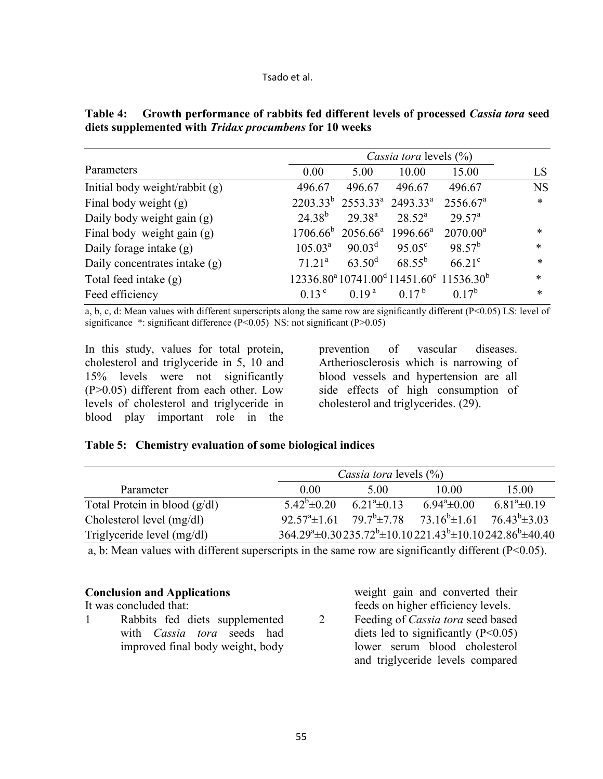|                                |                    | Cassia tora levels (%)           |                                           |                                                                                         |           |  |
|--------------------------------|--------------------|----------------------------------|-------------------------------------------|-----------------------------------------------------------------------------------------|-----------|--|
| Parameters                     | 0.00               | 5.00                             | 10.00                                     | 15.00                                                                                   | LS        |  |
| Initial body weight/rabbit (g) | 496.67             | 496.67                           | 496.67                                    | 496.67                                                                                  | <b>NS</b> |  |
| Final body weight (g)          |                    |                                  | $2203.33^{b}$ $2553.33^{a}$ $2493.33^{a}$ | $2556.67^a$                                                                             | $\ast$    |  |
| Daily body weight gain (g)     | $24.38^{b}$        | $29.38^{a}$                      | $28.52^a$                                 | 29.57 <sup>a</sup>                                                                      |           |  |
| Final body weight gain (g)     | $1706.66^{\circ}$  | $2056.66^a$ 1996.66 <sup>a</sup> |                                           | $2070.00^a$                                                                             | *         |  |
| Daily forage intake (g)        | $105.03^a$         | $90.03^d$                        | $95.05^{\circ}$                           | $98.57^{b}$                                                                             | $\ast$    |  |
| Daily concentrates intake (g)  | 71.21 <sup>a</sup> | $63.50^{\rm d}$                  | $68.55^{b}$                               | $66.21^{\circ}$                                                                         | $\ast$    |  |
| Total feed intake (g)          |                    |                                  |                                           | 12336.80 <sup>a</sup> 10741.00 <sup>d</sup> 11451.60 <sup>c</sup> 11536.30 <sup>b</sup> | $\ast$    |  |
| Feed efficiency                | 0.13 <sup>c</sup>  | 0.19 <sup>a</sup>                | 0 1 7 $^{\rm b}$                          | $0.17^{b}$                                                                              | $\ast$    |  |

**Table 4: Growth performance of rabbits fed different levels of processed** *Cassia tora* **seed diets supplemented with** *Tridax procumbens* **for 10 weeks** 

a, b, c, d: Mean values with different superscripts along the same row are significantly different  $(P<0.05)$  LS: level of significance \*: significant difference  $(P<0.05)$  NS: not significant  $(P>0.05)$ 

In this study, values for total protein, cholesterol and triglyceride in 5, 10 and 15% levels were not significantly (P>0.05) different from each other. Low levels of cholesterol and triglyceride in blood play important role in the

prevention of vascular diseases. Artheriosclerosis which is narrowing of blood vessels and hypertension are all side effects of high consumption of cholesterol and triglycerides. (29).

### **Table 5: Chemistry evaluation of some biological indices**

|                                 |                        | <i>Cassia tora</i> levels (%) |                                                                                                           |                    |  |  |  |
|---------------------------------|------------------------|-------------------------------|-----------------------------------------------------------------------------------------------------------|--------------------|--|--|--|
| Parameter                       | 0.00                   | 5.00                          | 10.00                                                                                                     | 15.00              |  |  |  |
| Total Protein in blood $(g/dl)$ | $5.42^b \pm 0.20$      | $6.21^a \pm 0.13$             | $6.94^a \pm 0.00$                                                                                         | $6.81^a \pm 0.19$  |  |  |  |
| Cholesterol level (mg/dl)       | $92.57^{\circ}$ ± 1.61 | $79.7^b \pm 7.78$             | $73.16^b \pm 1.61$                                                                                        | $76.43^b \pm 3.03$ |  |  |  |
| Triglyceride level (mg/dl)      |                        |                               | $364.29^{\text{a}}\pm 0.30235.72^{\text{b}}\pm 10.10221.43^{\text{b}}\pm 10.10242.86^{\text{b}}\pm 40.40$ |                    |  |  |  |

a, b: Mean values with different superscripts in the same row are significantly different (P<0.05).

### **Conclusion and Applications**

It was concluded that:

1 Rabbits fed diets supplemented with *Cassia tora* seeds had improved final body weight, body

weight gain and converted their feeds on higher efficiency levels.

2 Feeding of *Cassia tora* seed based diets led to significantly  $(P<0.05)$ lower serum blood cholesterol and triglyceride levels compared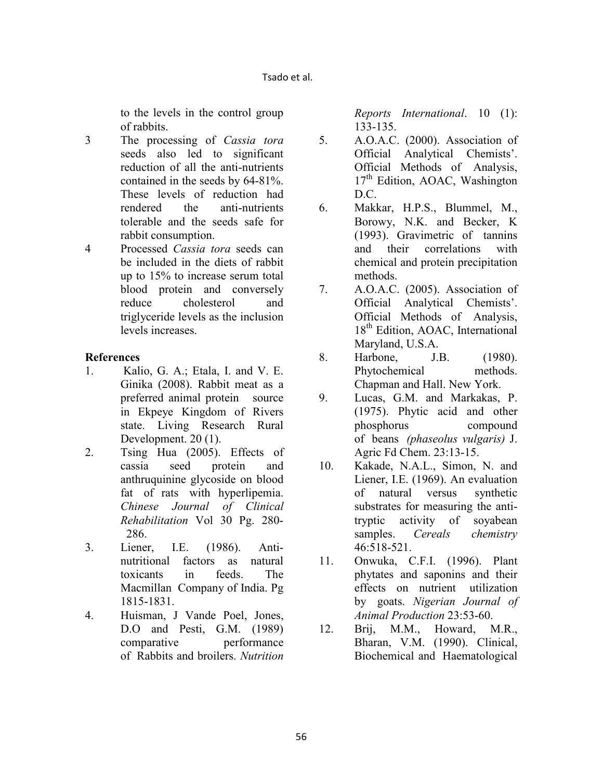to the levels in the control group of rabbits.

- 3 The processing of *Cassia tora* seeds also led to significant reduction of all the anti-nutrients contained in the seeds by 64-81%. These levels of reduction had rendered the anti-nutrients tolerable and the seeds safe for rabbit consumption.
- 4 Processed *Cassia tora* seeds can be included in the diets of rabbit up to 15% to increase serum total blood protein and conversely reduce cholesterol and triglyceride levels as the inclusion levels increases.

## **References**

- 1. Kalio, G. A.; Etala, I. and V. E. Ginika (2008). Rabbit meat as a preferred animal protein source in Ekpeye Kingdom of Rivers state. Living Research Rural Development. 20 (1).
- 2. Tsing Hua (2005). Effects of cassia seed protein and anthruquinine glycoside on blood fat of rats with hyperlipemia. *Chinese Journal of Clinical Rehabilitation* Vol 30 Pg. 280- 286.
- 3. Liener, I.E. (1986). Antinutritional factors as natural toxicants in feeds. The Macmillan Company of India. Pg 1815-1831.
- 4. Huisman, J Vande Poel, Jones, D.O and Pesti, G.M. (1989) comparative performance of Rabbits and broilers. *utrition*

*Reports International*. 10 (1): 133-135.

- 5. A.O.A.C. (2000). Association of Official Analytical Chemists'. Official Methods of Analysis, 17<sup>th</sup> Edition, AOAC, Washington D.C.
- 6. Makkar, H.P.S., Blummel, M., Borowy, N.K. and Becker, K (1993). Gravimetric of tannins and their correlations with chemical and protein precipitation methods.
- 7. A.O.A.C. (2005). Association of Official Analytical Chemists'. Official Methods of Analysis, 18<sup>th</sup> Edition, AOAC, International Maryland, U.S.A.
- 8. Harbone, J.B. (1980). Phytochemical methods. Chapman and Hall. New York.
- 9. Lucas, G.M. and Markakas, P. (1975). Phytic acid and other phosphorus compound of beans *(phaseolus vulgaris)* J. Agric Fd Chem. 23:13-15.
- 10. Kakade, N.A.L., Simon, N. and Liener, I.E. (1969). An evaluation of natural versus synthetic substrates for measuring the antitryptic activity of soyabean samples. *Cereals chemistry* 46:518-521.
- 11. Onwuka, C.F.I. (1996). Plant phytates and saponins and their effects on nutrient utilization by goats. *igerian Journal of Animal Production* 23:53-60.
- 12. Brij, M.M., Howard, M.R., Bharan, V.M. (1990). Clinical, Biochemical and Haematological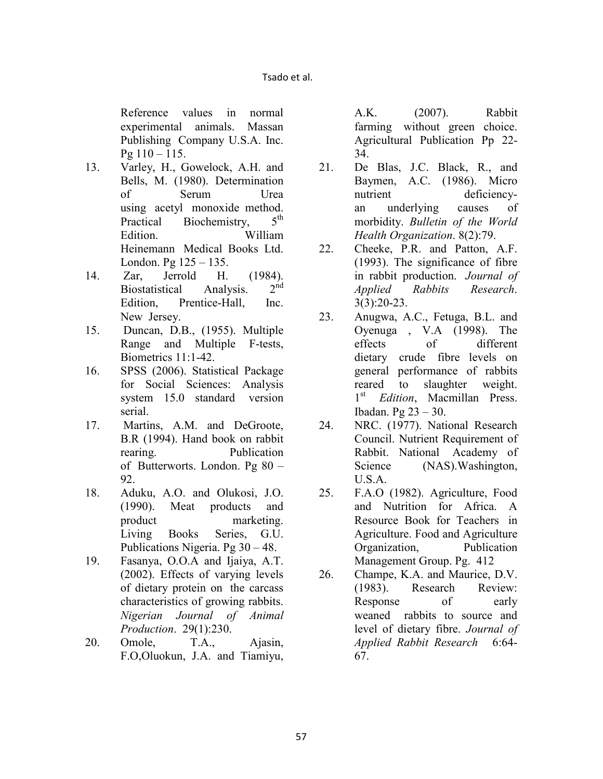Reference values in normal experimental animals. Massan Publishing Company U.S.A. Inc.  $Pg 110 - 115.$ 

- 13. Varley, H., Gowelock, A.H. and Bells, M. (1980). Determination of Serum Urea using acetyl monoxide method.<br>Practical Biochemistry 5<sup>th</sup> Practical Biochemistry, Edition. William Heinemann Medical Books Ltd. London. Pg 125 – 135.
- 14. Zar, Jerrold H. (1984).<br>Biostatistical Analysis 2<sup>nd</sup> Biostatistical Analysis. Edition, Prentice-Hall, Inc. New Jersey.
- 15. Duncan, D.B., (1955). Multiple Range and Multiple F-tests, Biometrics 11:1-42.
- 16. SPSS (2006). Statistical Package for Social Sciences: Analysis system 15.0 standard version serial.
- 17. Martins, A.M. and DeGroote, B.R (1994). Hand book on rabbit rearing. Publication of Butterworts. London. Pg 80 – 92.
- 18. Aduku, A.O. and Olukosi, J.O. (1990). Meat products and product marketing. Living Books Series, G.U. Publications Nigeria. Pg 30 – 48.
- 19. Fasanya, O.O.A and Ijaiya, A.T. (2002). Effects of varying levels of dietary protein on the carcass characteristics of growing rabbits. *igerian Journal of Animal Production*. 29(1):230.
- 20. Omole, T.A., Ajasin, F.O,Oluokun, J.A. and Tiamiyu,

A.K. (2007). Rabbit farming without green choice. Agricultural Publication Pp 22- 34.

- 21. De Blas, J.C. Black, R., and Baymen, A.C. (1986). Micro nutrient deficiencyan underlying causes of morbidity. *Bulletin of the World Health Organization*. 8(2):79.
- 22. Cheeke, P.R. and Patton, A.F. (1993). The significance of fibre in rabbit production. *Journal of Applied Rabbits Research*. 3(3):20-23.
- 23. Anugwa, A.C., Fetuga, B.L. and Oyenuga , V.A (1998). The effects of different dietary crude fibre levels on general performance of rabbits reared to slaughter weight. 1 st *Edition*, Macmillan Press. Ibadan. Pg 23 – 30.
- 24. NRC. (1977). National Research Council. Nutrient Requirement of Rabbit. National Academy of Science (NAS). Washington, U.S.A.
- 25. F.A.O (1982). Agriculture, Food and Nutrition for Africa. A Resource Book for Teachers in Agriculture. Food and Agriculture Organization, Publication Management Group. Pg. 412
- 26. Champe, K.A. and Maurice, D.V. (1983). Research Review: Response of early weaned rabbits to source and level of dietary fibre. *Journal of Applied Rabbit Research* 6:64- 67.